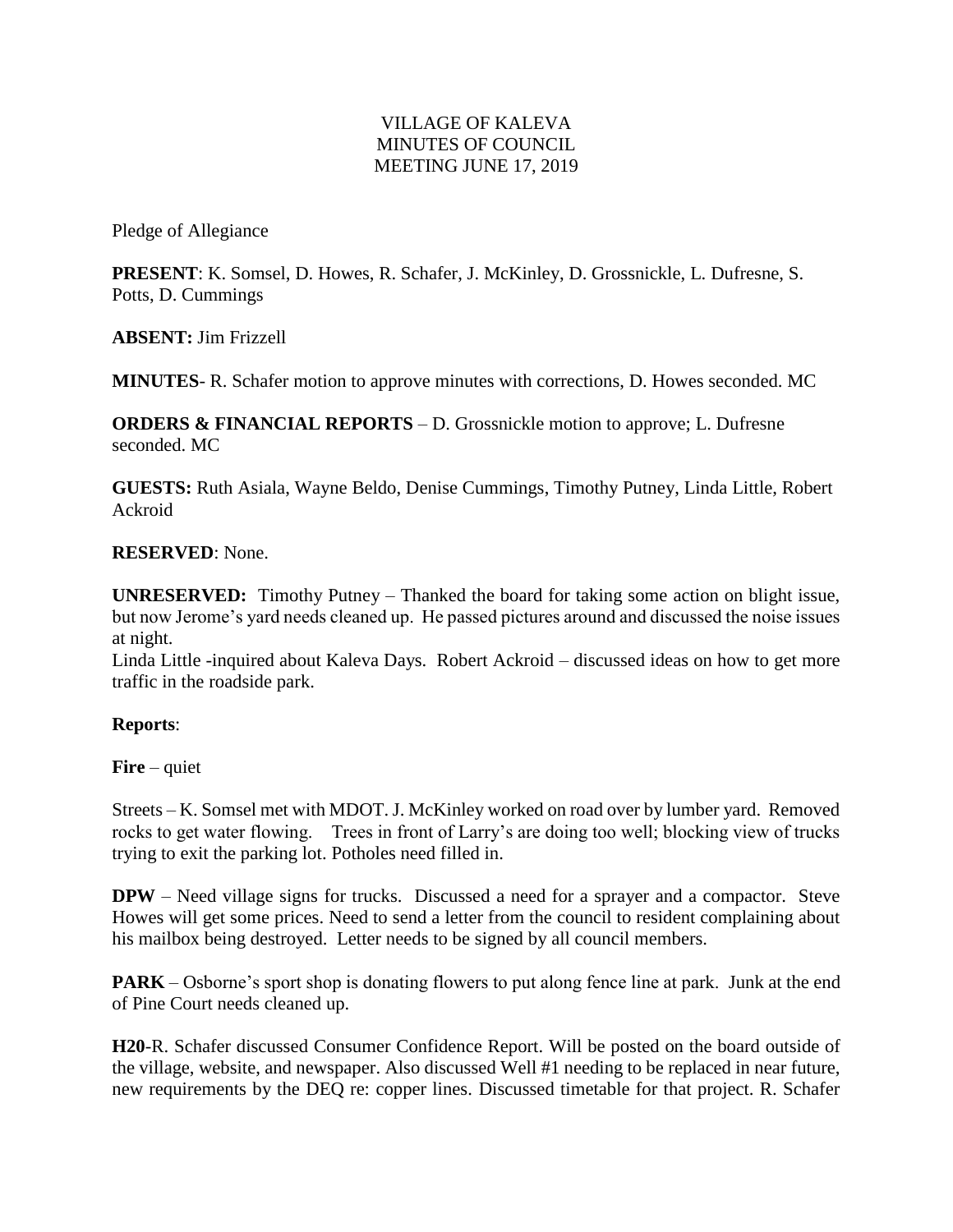## VILLAGE OF KALEVA MINUTES OF COUNCIL MEETING JUNE 17, 2019

Pledge of Allegiance

**PRESENT**: K. Somsel, D. Howes, R. Schafer, J. McKinley, D. Grossnickle, L. Dufresne, S. Potts, D. Cummings

**ABSENT:** Jim Frizzell

**MINUTES**- R. Schafer motion to approve minutes with corrections, D. Howes seconded. MC

**ORDERS & FINANCIAL REPORTS** – D. Grossnickle motion to approve; L. Dufresne seconded. MC

**GUESTS:** Ruth Asiala, Wayne Beldo, Denise Cummings, Timothy Putney, Linda Little, Robert Ackroid

## **RESERVED**: None.

**UNRESERVED:** Timothy Putney – Thanked the board for taking some action on blight issue, but now Jerome's yard needs cleaned up. He passed pictures around and discussed the noise issues at night.

Linda Little -inquired about Kaleva Days. Robert Ackroid – discussed ideas on how to get more traffic in the roadside park.

## **Reports**:

**Fire** – quiet

Streets – K. Somsel met with MDOT. J. McKinley worked on road over by lumber yard. Removed rocks to get water flowing. Trees in front of Larry's are doing too well; blocking view of trucks trying to exit the parking lot. Potholes need filled in.

**DPW** – Need village signs for trucks. Discussed a need for a sprayer and a compactor. Steve Howes will get some prices. Need to send a letter from the council to resident complaining about his mailbox being destroyed. Letter needs to be signed by all council members.

**PARK** – Osborne's sport shop is donating flowers to put along fence line at park. Junk at the end of Pine Court needs cleaned up.

**H20**-R. Schafer discussed Consumer Confidence Report. Will be posted on the board outside of the village, website, and newspaper. Also discussed Well #1 needing to be replaced in near future, new requirements by the DEQ re: copper lines. Discussed timetable for that project. R. Schafer